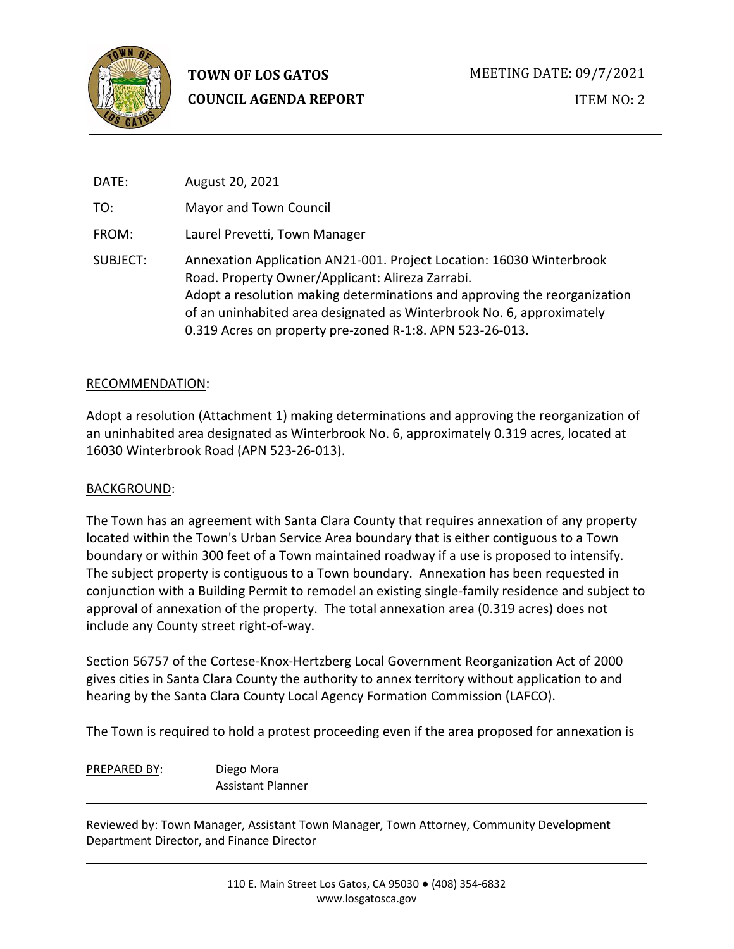

# **TOWN OF LOS GATOS COUNCIL AGENDA REPORT**

| DATE:    | August 20, 2021                                                                                                                                                                                                                                                                                                                            |
|----------|--------------------------------------------------------------------------------------------------------------------------------------------------------------------------------------------------------------------------------------------------------------------------------------------------------------------------------------------|
| TO:      | Mayor and Town Council                                                                                                                                                                                                                                                                                                                     |
| FROM:    | Laurel Prevetti, Town Manager                                                                                                                                                                                                                                                                                                              |
| SUBJECT: | Annexation Application AN21-001. Project Location: 16030 Winterbrook<br>Road. Property Owner/Applicant: Alireza Zarrabi.<br>Adopt a resolution making determinations and approving the reorganization<br>of an uninhabited area designated as Winterbrook No. 6, approximately<br>0.319 Acres on property pre-zoned R-1:8. APN 523-26-013. |

#### RECOMMENDATION:

Adopt a resolution (Attachment 1) making determinations and approving the reorganization of an uninhabited area designated as Winterbrook No. 6, approximately 0.319 acres, located at 16030 Winterbrook Road (APN 523-26-013).

# BACKGROUND:

The Town has an agreement with Santa Clara County that requires annexation of any property located within the Town's Urban Service Area boundary that is either contiguous to a Town boundary or within 300 feet of a Town maintained roadway if a use is proposed to intensify. The subject property is contiguous to a Town boundary. Annexation has been requested in conjunction with a Building Permit to remodel an existing single-family residence and subject to approval of annexation of the property. The total annexation area (0.319 acres) does not include any County street right-of-way.

Section 56757 of the Cortese-Knox-Hertzberg Local Government Reorganization Act of 2000 gives cities in Santa Clara County the authority to annex territory without application to and hearing by the Santa Clara County Local Agency Formation Commission (LAFCO).

The Town is required to hold a protest proceeding even if the area proposed for annexation is

PREPARED BY: Diego Mora Assistant Planner

Reviewed by: Town Manager, Assistant Town Manager, Town Attorney, Community Development Department Director, and Finance Director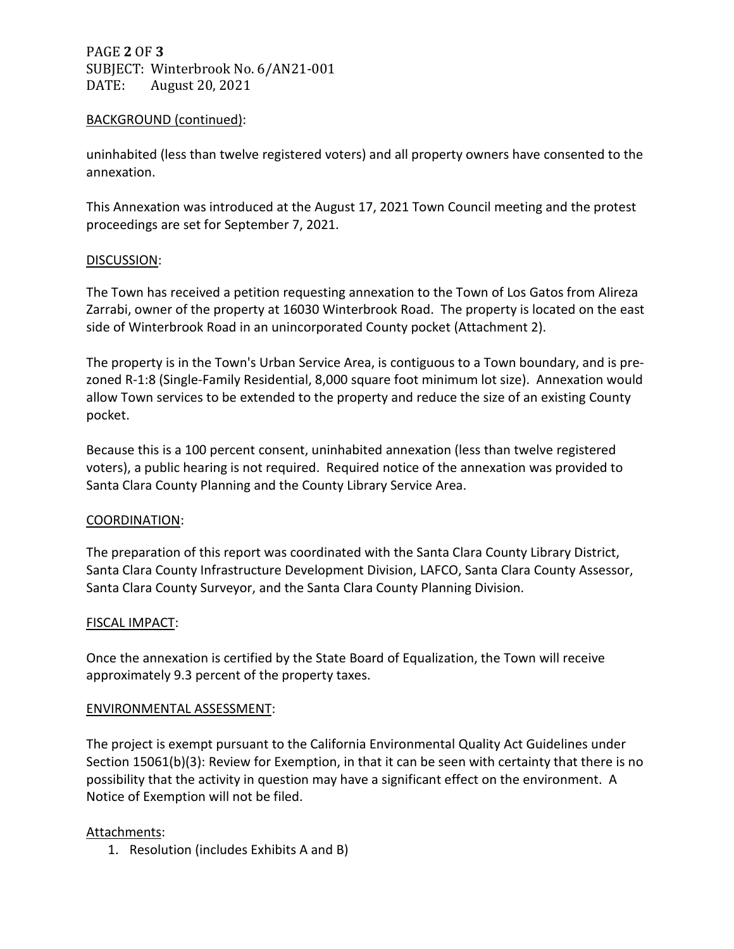PAGE **2** OF **3** SUBJECT: Winterbrook No. 6/AN21-001<br>DATE: August 20, 2021 August 20, 2021

#### BACKGROUND (continued):

uninhabited (less than twelve registered voters) and all property owners have consented to the annexation.

This Annexation was introduced at the August 17, 2021 Town Council meeting and the protest proceedings are set for September 7, 2021.

#### DISCUSSION:

The Town has received a petition requesting annexation to the Town of Los Gatos from Alireza Zarrabi, owner of the property at 16030 Winterbrook Road. The property is located on the east side of Winterbrook Road in an unincorporated County pocket (Attachment 2).

The property is in the Town's Urban Service Area, is contiguous to a Town boundary, and is prezoned R-1:8 (Single-Family Residential, 8,000 square foot minimum lot size). Annexation would allow Town services to be extended to the property and reduce the size of an existing County pocket.

Because this is a 100 percent consent, uninhabited annexation (less than twelve registered voters), a public hearing is not required. Required notice of the annexation was provided to Santa Clara County Planning and the County Library Service Area.

# COORDINATION:

The preparation of this report was coordinated with the Santa Clara County Library District, Santa Clara County Infrastructure Development Division, LAFCO, Santa Clara County Assessor, Santa Clara County Surveyor, and the Santa Clara County Planning Division.

# FISCAL IMPACT:

Once the annexation is certified by the State Board of Equalization, the Town will receive approximately 9.3 percent of the property taxes.

#### ENVIRONMENTAL ASSESSMENT:

The project is exempt pursuant to the California Environmental Quality Act Guidelines under Section 15061(b)(3): Review for Exemption, in that it can be seen with certainty that there is no possibility that the activity in question may have a significant effect on the environment. A Notice of Exemption will not be filed.

# Attachments:

1. Resolution (includes Exhibits A and B)